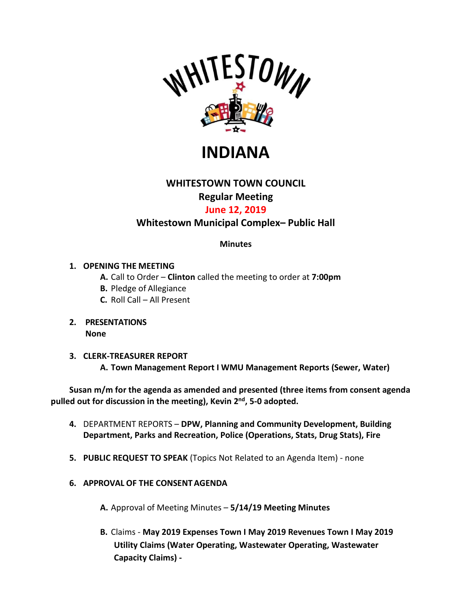

**INDIANA**

# **WHITESTOWN TOWN COUNCIL Regular Meeting**

### **June 12, 2019**

## **Whitestown Municipal Complex– Public Hall**

#### **Minutes**

#### **1. OPENING THE MEETING**

- **A.** Call to Order **Clinton** called the meeting to order at **7:00pm**
- **B.** Pledge of Allegiance
- **C.** Roll Call All Present
- **2. PRESENTATIONS None**
- **3. CLERK-TREASURER REPORT**
	- **A. [Town Management Report I](http://whitestown.in.gov/vertical/sites/%7BB8BE8AC3-9DE8-4247-BCB0-1173F48CC7C3%7D/uploads/2019_Town_of_Whitestown_-_Management_Report_(May).pdf) WMU Management Reports [\(Sewer,](http://whitestown.in.gov/vertical/sites/%7BB8BE8AC3-9DE8-4247-BCB0-1173F48CC7C3%7D/uploads/WMU_Management_Report_-_May_(SEWER)(2).pdf) [Water\)](http://whitestown.in.gov/vertical/sites/%7BB8BE8AC3-9DE8-4247-BCB0-1173F48CC7C3%7D/uploads/WMU_Management_Report_-_May_(WATER)(2).pdf)**

**Susan m/m for the agenda as amended and presented (three items from consent agenda pulled out for discussion in the meeting), Kevin 2nd, 5-0 adopted.**

- **4.** DEPARTMENT REPORTS **[DPW,](http://whitestown.in.gov/vertical/sites/%7BB8BE8AC3-9DE8-4247-BCB0-1173F48CC7C3%7D/uploads/May_2019_Street_Dept_Report.pdf) [Planning and Community Development,](http://whitestown.in.gov/vertical/sites/%7BB8BE8AC3-9DE8-4247-BCB0-1173F48CC7C3%7D/uploads/May_2019_Planning__Community_Development_Report.pdf) [Building](http://whitestown.in.gov/vertical/sites/%7BB8BE8AC3-9DE8-4247-BCB0-1173F48CC7C3%7D/uploads/May_2019_Building_Dept_Report.pdf) [Department,](http://whitestown.in.gov/vertical/sites/%7BB8BE8AC3-9DE8-4247-BCB0-1173F48CC7C3%7D/uploads/May_2019_Building_Dept_Report.pdf) [Parks and Recreation,](http://whitestown.in.gov/vertical/sites/%7BB8BE8AC3-9DE8-4247-BCB0-1173F48CC7C3%7D/uploads/2019_June_Parks_Report.pdf) Police [\(Operations,](http://whitestown.in.gov/vertical/sites/%7BB8BE8AC3-9DE8-4247-BCB0-1173F48CC7C3%7D/uploads/May_2019_WMPD_Report.pdf) [Stats,](http://whitestown.in.gov/vertical/sites/%7BB8BE8AC3-9DE8-4247-BCB0-1173F48CC7C3%7D/uploads/WMPD_Statical_Data(11).pdf) [Drug Stats\)](http://whitestown.in.gov/vertical/sites/%7BB8BE8AC3-9DE8-4247-BCB0-1173F48CC7C3%7D/uploads/WMPD_drug_statics(1).pdf), [Fire](http://whitestown.in.gov/vertical/sites/%7BB8BE8AC3-9DE8-4247-BCB0-1173F48CC7C3%7D/uploads/May_2019_Fire_Dept_Report.pdf)**
- **5. PUBLIC REQUEST TO SPEAK** (Topics Not Related to an Agenda Item) none
- **6. APPROVAL OF THE CONSENTAGENDA**
	- **A.** Approval of Meeting Minutes **[5/14/19 Meeting Minutes](http://whitestown.in.gov/vertical/sites/%7BB8BE8AC3-9DE8-4247-BCB0-1173F48CC7C3%7D/uploads/5-14-19_Whitestown_Town_Council_Regular_Meeting_Minutes.pdf)**
	- **B.** Claims **[May 2019 Expenses Town I](http://whitestown.in.gov/vertical/sites/%7BB8BE8AC3-9DE8-4247-BCB0-1173F48CC7C3%7D/uploads/May_2019_Disbursements.pdf) [May 2019 Revenues Town I](http://whitestown.in.gov/vertical/sites/%7BB8BE8AC3-9DE8-4247-BCB0-1173F48CC7C3%7D/uploads/May_2019_Fee_Receipts.pdf) May 2019 Utility Claims [\(Water Operating,](http://whitestown.in.gov/vertical/sites/%7BB8BE8AC3-9DE8-4247-BCB0-1173F48CC7C3%7D/uploads/Water_Operating_Claims_Docket_06.12.19.pdf) [Wastewater Operating,](http://whitestown.in.gov/vertical/sites/%7BB8BE8AC3-9DE8-4247-BCB0-1173F48CC7C3%7D/uploads/Sewer_Operating_Claims_Docket_06.12.19.pdf) [Wastewater](http://whitestown.in.gov/vertical/sites/%7BB8BE8AC3-9DE8-4247-BCB0-1173F48CC7C3%7D/uploads/Sewer_Capacity_Claims_Docket_06.12.19.pdf) [Capacity Claims\)](http://whitestown.in.gov/vertical/sites/%7BB8BE8AC3-9DE8-4247-BCB0-1173F48CC7C3%7D/uploads/Sewer_Capacity_Claims_Docket_06.12.19.pdf) -**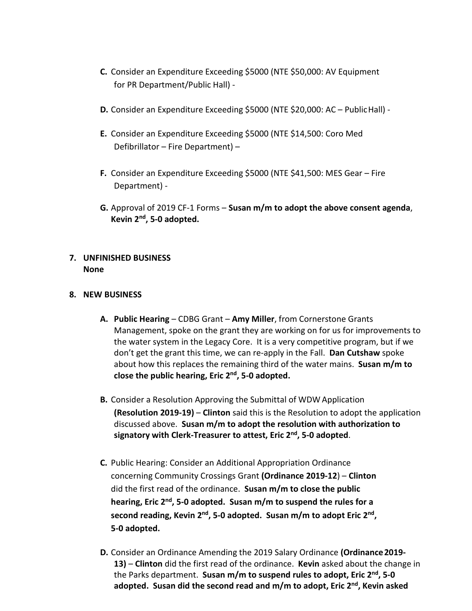- **C.** Consider an Expenditure Exceeding \$5000 (NTE \$50,000: AV Equipment for PR Department/Public Hall) -
- **D.** Consider an Expenditure Exceeding \$5000 (NTE \$20,000: AC PublicHall) -
- **E.** Consider an Expenditure Exceeding \$5000 (NTE \$14,500: Coro Med Defibrillator – Fire Department) –
- **F.** Consider an Expenditure Exceeding \$5000 (NTE \$41,500: MES Gear Fire Department) -
- **G.** Approval of 2019 CF-1 Forms **Susan m/m to adopt the above consent agenda**, **Kevin 2nd, 5-0 adopted.**

#### **7. UNFINISHED BUSINESS None**

#### **8. NEW BUSINESS**

- **A. Public Hearing** CDBG Grant **Amy Miller**, from Cornerstone Grants Management, spoke on the grant they are working on for us for improvements to the water system in the Legacy Core. It is a very competitive program, but if we don't get the grant this time, we can re-apply in the Fall. **Dan Cutshaw** spoke about how this replaces the remaining third of the water mains. **Susan m/m to close the public hearing, Eric 2nd, 5-0 adopted.**
- **B.** Consider a Resolution Approving the Submittal of WDW Application **(Resolution 2019-19)** – **Clinton** said this is the Resolution to adopt the application discussed above. **Susan m/m to adopt the resolution with authorization to signatory with Clerk-Treasurer to attest, Eric 2nd, 5-0 adopted**.
- **C.** Public Hearing: Consider an Additional Appropriation Ordinance concerning Community Crossings Grant **(Ordinance 2019-12**) – **Clinton** did the first read of the ordinance. **Susan m/m to close the public hearing, Eric 2nd, 5-0 adopted. Susan m/m to suspend the rules for a second reading, Kevin 2nd, 5-0 adopted. Susan m/m to adopt Eric 2nd, 5-0 adopted.**
- **D.** Consider an Ordinance Amending the 2019 Salary Ordinance **(Ordinance2019- 13)** – **Clinton** did the first read of the ordinance. **Kevin** asked about the change in the Parks department. **Susan m/m to suspend rules to adopt, Eric 2nd, 5-0**  adopted. Susan did the second read and m/m to adopt, Eric 2<sup>nd</sup>, Kevin asked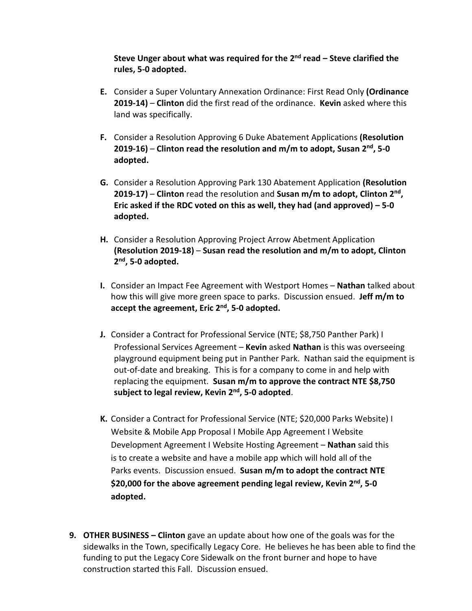**Steve Unger about what was required for the 2nd read – Steve clarified the rules, 5-0 adopted.**

- **E.** Consider a Super Voluntary Annexation Ordinance: First Read Only **(Ordinance 2019-14)** – **Clinton** did the first read of the ordinance. **Kevin** asked where this land was specifically.
- **F.** Consider a Resolution Approving 6 Duke Abatement Applications **(Resolution 2019-16)** – **Clinton read the resolution and m/m to adopt, Susan 2nd, 5-0 adopted.**
- **G.** Consider a Resolution Approving Park 130 Abatement Application **(Resolution 2019-17)** – **Clinton** read the resolution and **Susan m/m to adopt, Clinton 2nd, Eric asked if the RDC voted on this as well, they had (and approved) – 5-0 adopted.**
- **H.** Consider a Resolution Approving Project Arrow Abetment Application **(Resolution 2019-18)** – **Susan read the resolution and m/m to adopt, Clinton 2nd, 5-0 adopted.**
- **I.** Consider an Impact Fee Agreement with Westport Homes **Nathan** talked about how this will give more green space to parks. Discussion ensued. **Jeff m/m to accept the agreement, Eric 2nd, 5-0 adopted.**
- **J.** Consider a Contract for Professional Service (NTE; \$8,750 Panther Park) I [Professional Services Agreement](http://whitestown.in.gov/vertical/sites/%7BB8BE8AC3-9DE8-4247-BCB0-1173F48CC7C3%7D/uploads/Panther_Park_PSA.pdf) – **Kevin** asked **Nathan** is this was overseeing playground equipment being put in Panther Park. Nathan said the equipment is out-of-date and breaking. This is for a company to come in and help with replacing the equipment. **Susan m/m to approve the contract NTE \$8,750 subject to legal review, Kevin 2nd, 5-0 adopted**.
- **K.** Consider a Contract for Professional Service (NTE; \$20,000 Parks Website) [I](http://whitestown.in.gov/vertical/sites/%7BB8BE8AC3-9DE8-4247-BCB0-1173F48CC7C3%7D/uploads/Website__Mobile_App_Proposal.pdf) [Website & Mobile App Proposal I](http://whitestown.in.gov/vertical/sites/%7BB8BE8AC3-9DE8-4247-BCB0-1173F48CC7C3%7D/uploads/Website__Mobile_App_Proposal.pdf) [Mobile App Agreement I](http://whitestown.in.gov/vertical/sites/%7BB8BE8AC3-9DE8-4247-BCB0-1173F48CC7C3%7D/uploads/Mobile_App_Agreement.pdf) [Website](http://whitestown.in.gov/vertical/sites/%7BB8BE8AC3-9DE8-4247-BCB0-1173F48CC7C3%7D/uploads/Website_Development_Agreement.pdf) [Development Agreement I](http://whitestown.in.gov/vertical/sites/%7BB8BE8AC3-9DE8-4247-BCB0-1173F48CC7C3%7D/uploads/Website_Development_Agreement.pdf) [Website Hosting Agreement](http://whitestown.in.gov/vertical/sites/%7BB8BE8AC3-9DE8-4247-BCB0-1173F48CC7C3%7D/uploads/Website_Hosting_Agreement.pdf) – **Nathan** said this is to create a website and have a mobile app which will hold all of the Parks events. Discussion ensued. **Susan m/m to adopt the contract NTE \$20,000 for the above agreement pending legal review, Kevin 2nd, 5-0 adopted.**
- **9. OTHER BUSINESS – Clinton** gave an update about how one of the goals was for the sidewalks in the Town, specifically Legacy Core. He believes he has been able to find the funding to put the Legacy Core Sidewalk on the front burner and hope to have construction started this Fall. Discussion ensued.